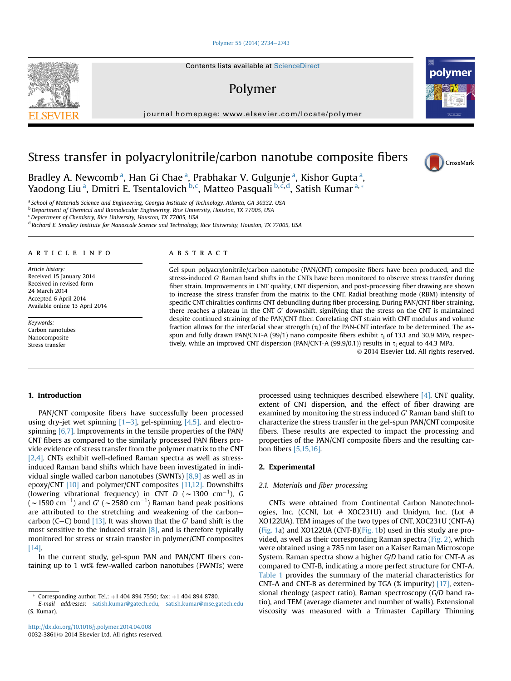#### [Polymer 55 \(2014\) 2734](http://dx.doi.org/10.1016/j.polymer.2014.04.008)-[2743](http://dx.doi.org/10.1016/j.polymer.2014.04.008)

## Polymer

journal homepage: [www.elsevier.com/locate/polymer](http://www.elsevier.com/locate/polymer)



Bradley A. Newcomb<sup>a</sup>, Han Gi Chae<sup>a</sup>, Prabhakar V. Gulgunje<sup>a</sup>, Kishor Gupta<sup>a</sup>, Yaodong Liu <sup>a</sup>, Dmitri E. Tsentalovich <sup>b, c</sup>, Matteo Pasquali <sup>b, c, d</sup>, Satish Kumar <sup>a, \*</sup>

a School of Materials Science and Engineering, Georgia Institute of Technology, Atlanta, GA 30332, USA

<sup>b</sup> Department of Chemical and Biomolecular Engineering, Rice University, Houston, TX 77005, USA

<sup>c</sup> Department of Chemistry, Rice University, Houston, TX 77005, USA

<sup>d</sup> Richard E. Smalley Institute for Nanoscale Science and Technology, Rice University, Houston, TX 77005, USA

#### article info

Article history: Received 15 January 2014 Received in revised form 24 March 2014 Accepted 6 April 2014 Available online 13 April 2014

Keywords: Carbon nanotubes Nanocomposite Stress transfer

### **ABSTRACT**

Gel spun polyacrylonitrile/carbon nanotube (PAN/CNT) composite fibers have been produced, and the stress-induced G' Raman band shifts in the CNTs have been monitored to observe stress transfer during fiber strain. Improvements in CNT quality, CNT dispersion, and post-processing fiber drawing are shown to increase the stress transfer from the matrix to the CNT. Radial breathing mode (RBM) intensity of specific CNT chiralities confirms CNT debundling during fiber processing. During PAN/CNT fiber straining, there reaches a plateau in the CNT  $G'$  downshift, signifying that the stress on the CNT is maintained despite continued straining of the PAN/CNT fiber. Correlating CNT strain with CNT modulus and volume fraction allows for the interfacial shear strength  $(\tau_i)$  of the PAN-CNT interface to be determined. The asspun and fully drawn PAN/CNT-A (99/1) nano composite fibers exhibit  $\tau_i$  of 13.1 and 30.9 MPa, respectively, while an improved CNT dispersion (PAN/CNT-A (99.9/0.1)) results in  $\tau_i$  equal to 44.3 MPa.

2014 Elsevier Ltd. All rights reserved.

#### 1. Introduction

PAN/CNT composite fibers have successfully been processed using dry-jet wet spinning  $[1-3]$  $[1-3]$ , gel-spinning  $[4,5]$ , and electrospinning [\[6,7\]](#page--1-0). Improvements in the tensile properties of the PAN/ CNT fibers as compared to the similarly processed PAN fibers provide evidence of stress transfer from the polymer matrix to the CNT [\[2,4\]](#page--1-0). CNTs exhibit well-defined Raman spectra as well as stressinduced Raman band shifts which have been investigated in individual single walled carbon nanotubes (SWNTs) [\[8,9\]](#page--1-0) as well as in epoxy/CNT [\[10\]](#page--1-0) and polymer/CNT composites [\[11,12\].](#page--1-0) Downshifts (lowering vibrational frequency) in CNT D ( $\sim$ 1300 cm $^{-1}$ ), G (  $\sim$  1590 cm $^{-1}$ ) and G' (  $\sim$  2580 cm $^{-1}$ ) Raman band peak positions are attributed to the stretching and weakening of the carbon-carbon (C-C) bond [\[13\]](#page--1-0). It was shown that the  $G'$  band shift is the most sensitive to the induced strain [\[8\],](#page--1-0) and is therefore typically monitored for stress or strain transfer in polymer/CNT composites [\[14\].](#page--1-0)

In the current study, gel-spun PAN and PAN/CNT fibers containing up to 1 wt% few-walled carbon nanotubes (FWNTs) were

processed using techniques described elsewhere [\[4\].](#page--1-0) CNT quality, extent of CNT dispersion, and the effect of fiber drawing are examined by monitoring the stress induced  $G'$  Raman band shift to characterize the stress transfer in the gel-spun PAN/CNT composite fibers. These results are expected to impact the processing and properties of the PAN/CNT composite fibers and the resulting carbon fibers [\[5,15,16\]](#page--1-0).

#### 2. Experimental

#### 2.1. Materials and fiber processing

CNTs were obtained from Continental Carbon Nanotechnologies, Inc. (CCNI, Lot # XOC231U) and Unidym, Inc. (Lot # XO122UA). TEM images of the two types of CNT, XOC231U (CNT-A) ([Fig. 1](#page-1-0)a) and XO122UA (CNT-B)([Fig. 1b](#page-1-0)) used in this study are provided, as well as their corresponding Raman spectra ([Fig. 2](#page-1-0)), which were obtained using a 785 nm laser on a Kaiser Raman Microscope System. Raman spectra show a higher G/D band ratio for CNT-A as compared to CNT-B, indicating a more perfect structure for CNT-A. [Table 1](#page-1-0) provides the summary of the material characteristics for CNT-A and CNT-B as determined by TGA (% impurity) [\[17\],](#page--1-0) extensional rheology (aspect ratio), Raman spectroscopy (G/D band ratio), and TEM (average diameter and number of walls). Extensional viscosity was measured with a Trimaster Capillary Thinning





<sup>\*</sup> Corresponding author. Tel.:  $+1$  404 894 7550; fax:  $+1$  404 894 8780.

E-mail addresses: [satish.kumar@gatech.edu,](mailto:satish.kumar@gatech.edu) [satish.kumar@mse.gatech.edu](mailto:satish.kumar@mse.gatech.edu) (S. Kumar).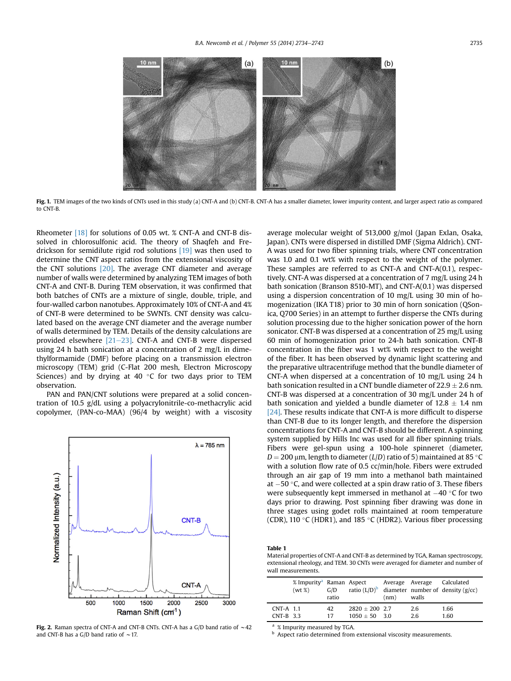<span id="page-1-0"></span>

Fig. 1. TEM images of the two kinds of CNTs used in this study (a) CNT-A and (b) CNT-B. CNT-A has a smaller diameter, lower impurity content, and larger aspect ratio as compared to CNT-B.

Rheometer [\[18\]](#page--1-0) for solutions of 0.05 wt. % CNT-A and CNT-B dissolved in chlorosulfonic acid. The theory of Shaqfeh and Fredrickson for semidilute rigid rod solutions [\[19\]](#page--1-0) was then used to determine the CNT aspect ratios from the extensional viscosity of the CNT solutions [\[20\].](#page--1-0) The average CNT diameter and average number of walls were determined by analyzing TEM images of both CNT-A and CNT-B. During TEM observation, it was confirmed that both batches of CNTs are a mixture of single, double, triple, and four-walled carbon nanotubes. Approximately 10% of CNT-A and 4% of CNT-B were determined to be SWNTs. CNT density was calculated based on the average CNT diameter and the average number of walls determined by TEM. Details of the density calculations are provided elsewhere  $[21-23]$  $[21-23]$ . CNT-A and CNT-B were dispersed using 24 h bath sonication at a concentration of 2 mg/L in dimethylformamide (DMF) before placing on a transmission electron microscopy (TEM) grid (C-Flat 200 mesh, Electron Microscopy Sciences) and by drying at 40  $\degree$ C for two days prior to TEM observation.

PAN and PAN/CNT solutions were prepared at a solid concentration of 10.5 g/dL using a polyacrylonitrile-co-methacrylic acid copolymer, (PAN-co-MAA) (96/4 by weight) with a viscosity



Fig. 2. Raman spectra of CNT-A and CNT-B CNTs. CNT-A has a G/D band ratio of  $\sim$  42 and CNT-B has a G/D band ratio of  $\sim$  17.

average molecular weight of 513,000 g/mol (Japan Exlan, Osaka, Japan). CNTs were dispersed in distilled DMF (Sigma Aldrich). CNT-A was used for two fiber spinning trials, where CNT concentration was 1.0 and 0.1 wt% with respect to the weight of the polymer. These samples are referred to as CNT-A and CNT-A(0.1), respectively. CNT-A was dispersed at a concentration of 7 mg/L using 24 h bath sonication (Branson 8510-MT), and CNT-A(0.1) was dispersed using a dispersion concentration of 10 mg/L using 30 min of homogenization (IKA T18) prior to 30 min of horn sonication (QSonica, Q700 Series) in an attempt to further disperse the CNTs during solution processing due to the higher sonication power of the horn sonicator. CNT-B was dispersed at a concentration of 25 mg/L using 60 min of homogenization prior to 24-h bath sonication. CNT-B concentration in the fiber was 1 wt% with respect to the weight of the fiber. It has been observed by dynamic light scattering and the preparative ultracentrifuge method that the bundle diameter of CNT-A when dispersed at a concentration of 10 mg/L using 24 h bath sonication resulted in a CNT bundle diameter of  $22.9 \pm 2.6$  nm. CNT-B was dispersed at a concentration of 30 mg/L under 24 h of bath sonication and yielded a bundle diameter of  $12.8 \pm 1.4$  nm [\[24\].](#page--1-0) These results indicate that CNT-A is more difficult to disperse than CNT-B due to its longer length, and therefore the dispersion concentrations for CNT-A and CNT-B should be different. A spinning system supplied by Hills Inc was used for all fiber spinning trials. Fibers were gel-spun using a 100-hole spinneret (diameter,  $D = 200$  µm, length to diameter ( $L/D$ ) ratio of 5) maintained at 85 °C with a solution flow rate of 0.5 cc/min/hole. Fibers were extruded through an air gap of 19 mm into a methanol bath maintained at  $-50$  °C, and were collected at a spin draw ratio of 3. These fibers were subsequently kept immersed in methanol at  $-40$  °C for two days prior to drawing. Post spinning fiber drawing was done in three stages using godet rolls maintained at room temperature (CDR), 110 $\,^{\circ}$ C (HDR1), and 185 $\,^{\circ}$ C (HDR2). Various fiber processing

#### Table 1

Material properties of CNT-A and CNT-B as determined by TGA, Raman spectroscopy, extensional rheology, and TEM. 30 CNTs were averaged for diameter and number of wall measurements.

|                            | % Impurity <sup>a</sup> Raman Aspect<br>(wt %) | G/D<br>ratio |                                    | Average Average<br>(nm) | walls     | Calculated<br>ratio $(L/D)^b$ diameter number of density (g/cc) |
|----------------------------|------------------------------------------------|--------------|------------------------------------|-------------------------|-----------|-----------------------------------------------------------------|
| $CNT-A$ 1.1<br>$CNT-B$ 3.3 |                                                | 42.<br>17    | $2820 + 200$ 2.7<br>$1050 + 50$ 30 |                         | 2.6<br>26 | 1.66<br>1.60                                                    |

<sup>a</sup> % Impurity measured by TGA.

**b** Aspect ratio determined from extensional viscosity measurements.